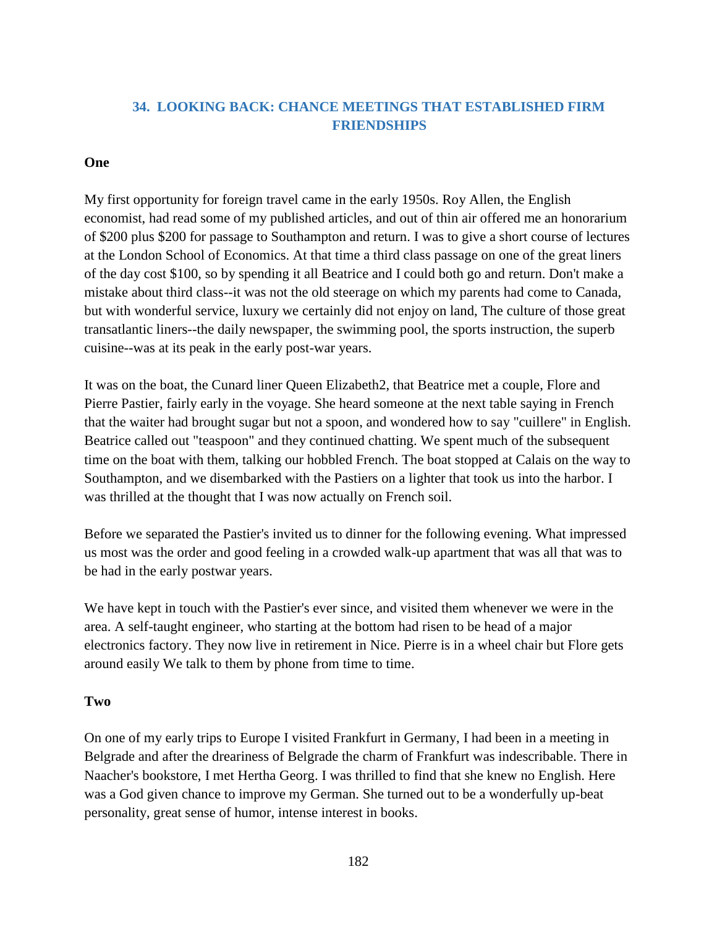# **34. LOOKING BACK: CHANCE MEETINGS THAT ESTABLISHED FIRM FRIENDSHIPS**

### **One**

My first opportunity for foreign travel came in the early 1950s. Roy Allen, the English economist, had read some of my published articles, and out of thin air offered me an honorarium of \$200 plus \$200 for passage to Southampton and return. I was to give a short course of lectures at the London School of Economics. At that time a third class passage on one of the great liners of the day cost \$100, so by spending it all Beatrice and I could both go and return. Don't make a mistake about third class--it was not the old steerage on which my parents had come to Canada, but with wonderful service, luxury we certainly did not enjoy on land, The culture of those great transatlantic liners--the daily newspaper, the swimming pool, the sports instruction, the superb cuisine--was at its peak in the early post-war years.

It was on the boat, the Cunard liner Queen Elizabeth2, that Beatrice met a couple, Flore and Pierre Pastier, fairly early in the voyage. She heard someone at the next table saying in French that the waiter had brought sugar but not a spoon, and wondered how to say "cuillere" in English. Beatrice called out "teaspoon" and they continued chatting. We spent much of the subsequent time on the boat with them, talking our hobbled French. The boat stopped at Calais on the way to Southampton, and we disembarked with the Pastiers on a lighter that took us into the harbor. I was thrilled at the thought that I was now actually on French soil.

Before we separated the Pastier's invited us to dinner for the following evening. What impressed us most was the order and good feeling in a crowded walk-up apartment that was all that was to be had in the early postwar years.

We have kept in touch with the Pastier's ever since, and visited them whenever we were in the area. A self-taught engineer, who starting at the bottom had risen to be head of a major electronics factory. They now live in retirement in Nice. Pierre is in a wheel chair but Flore gets around easily We talk to them by phone from time to time.

## **Two**

On one of my early trips to Europe I visited Frankfurt in Germany, I had been in a meeting in Belgrade and after the dreariness of Belgrade the charm of Frankfurt was indescribable. There in Naacher's bookstore, I met Hertha Georg. I was thrilled to find that she knew no English. Here was a God given chance to improve my German. She turned out to be a wonderfully up-beat personality, great sense of humor, intense interest in books.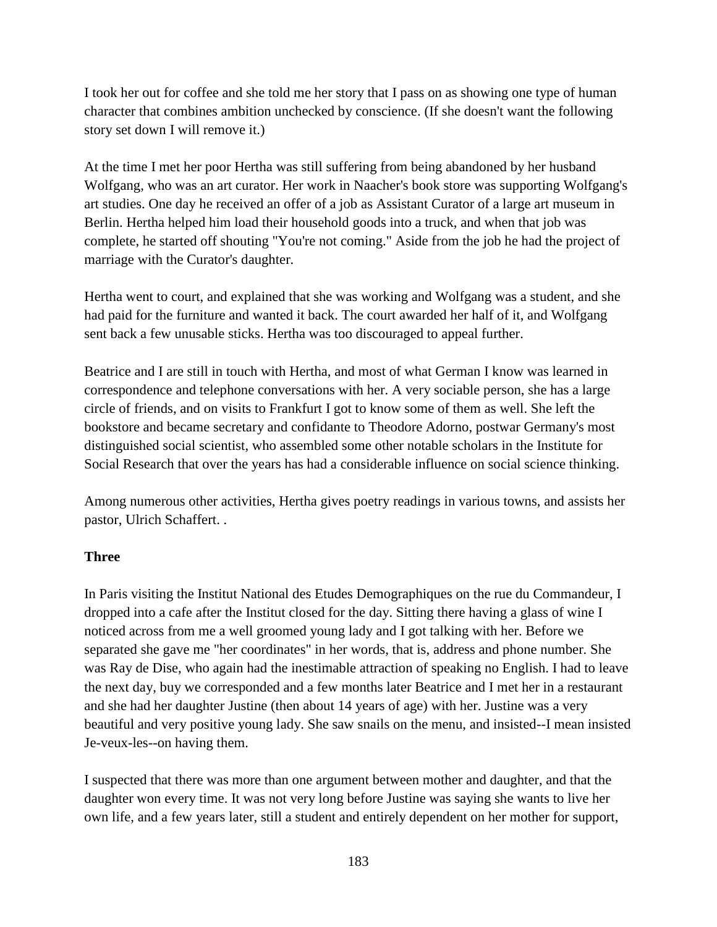I took her out for coffee and she told me her story that I pass on as showing one type of human character that combines ambition unchecked by conscience. (If she doesn't want the following story set down I will remove it.)

At the time I met her poor Hertha was still suffering from being abandoned by her husband Wolfgang, who was an art curator. Her work in Naacher's book store was supporting Wolfgang's art studies. One day he received an offer of a job as Assistant Curator of a large art museum in Berlin. Hertha helped him load their household goods into a truck, and when that job was complete, he started off shouting "You're not coming." Aside from the job he had the project of marriage with the Curator's daughter.

Hertha went to court, and explained that she was working and Wolfgang was a student, and she had paid for the furniture and wanted it back. The court awarded her half of it, and Wolfgang sent back a few unusable sticks. Hertha was too discouraged to appeal further.

Beatrice and I are still in touch with Hertha, and most of what German I know was learned in correspondence and telephone conversations with her. A very sociable person, she has a large circle of friends, and on visits to Frankfurt I got to know some of them as well. She left the bookstore and became secretary and confidante to Theodore Adorno, postwar Germany's most distinguished social scientist, who assembled some other notable scholars in the Institute for Social Research that over the years has had a considerable influence on social science thinking.

Among numerous other activities, Hertha gives poetry readings in various towns, and assists her pastor, Ulrich Schaffert. .

#### **Three**

In Paris visiting the Institut National des Etudes Demographiques on the rue du Commandeur, I dropped into a cafe after the Institut closed for the day. Sitting there having a glass of wine I noticed across from me a well groomed young lady and I got talking with her. Before we separated she gave me "her coordinates" in her words, that is, address and phone number. She was Ray de Dise, who again had the inestimable attraction of speaking no English. I had to leave the next day, buy we corresponded and a few months later Beatrice and I met her in a restaurant and she had her daughter Justine (then about 14 years of age) with her. Justine was a very beautiful and very positive young lady. She saw snails on the menu, and insisted--I mean insisted Je-veux-les--on having them.

I suspected that there was more than one argument between mother and daughter, and that the daughter won every time. It was not very long before Justine was saying she wants to live her own life, and a few years later, still a student and entirely dependent on her mother for support,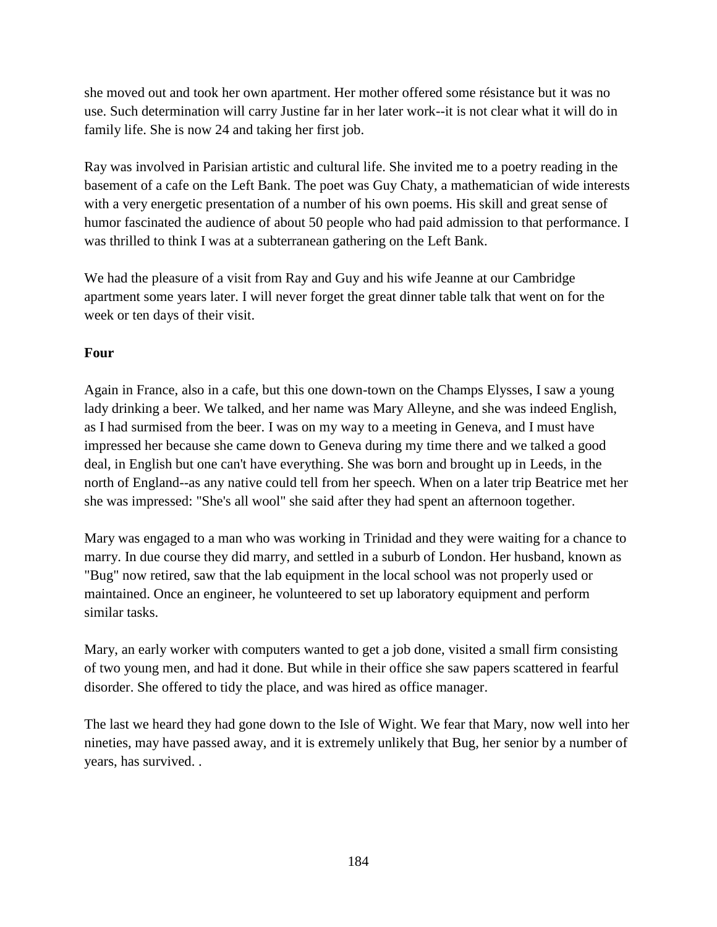she moved out and took her own apartment. Her mother offered some résistance but it was no use. Such determination will carry Justine far in her later work--it is not clear what it will do in family life. She is now 24 and taking her first job.

Ray was involved in Parisian artistic and cultural life. She invited me to a poetry reading in the basement of a cafe on the Left Bank. The poet was Guy Chaty, a mathematician of wide interests with a very energetic presentation of a number of his own poems. His skill and great sense of humor fascinated the audience of about 50 people who had paid admission to that performance. I was thrilled to think I was at a subterranean gathering on the Left Bank.

We had the pleasure of a visit from Ray and Guy and his wife Jeanne at our Cambridge apartment some years later. I will never forget the great dinner table talk that went on for the week or ten days of their visit.

## **Four**

Again in France, also in a cafe, but this one down-town on the Champs Elysses, I saw a young lady drinking a beer. We talked, and her name was Mary Alleyne, and she was indeed English, as I had surmised from the beer. I was on my way to a meeting in Geneva, and I must have impressed her because she came down to Geneva during my time there and we talked a good deal, in English but one can't have everything. She was born and brought up in Leeds, in the north of England--as any native could tell from her speech. When on a later trip Beatrice met her she was impressed: "She's all wool" she said after they had spent an afternoon together.

Mary was engaged to a man who was working in Trinidad and they were waiting for a chance to marry. In due course they did marry, and settled in a suburb of London. Her husband, known as "Bug" now retired, saw that the lab equipment in the local school was not properly used or maintained. Once an engineer, he volunteered to set up laboratory equipment and perform similar tasks.

Mary, an early worker with computers wanted to get a job done, visited a small firm consisting of two young men, and had it done. But while in their office she saw papers scattered in fearful disorder. She offered to tidy the place, and was hired as office manager.

The last we heard they had gone down to the Isle of Wight. We fear that Mary, now well into her nineties, may have passed away, and it is extremely unlikely that Bug, her senior by a number of years, has survived. .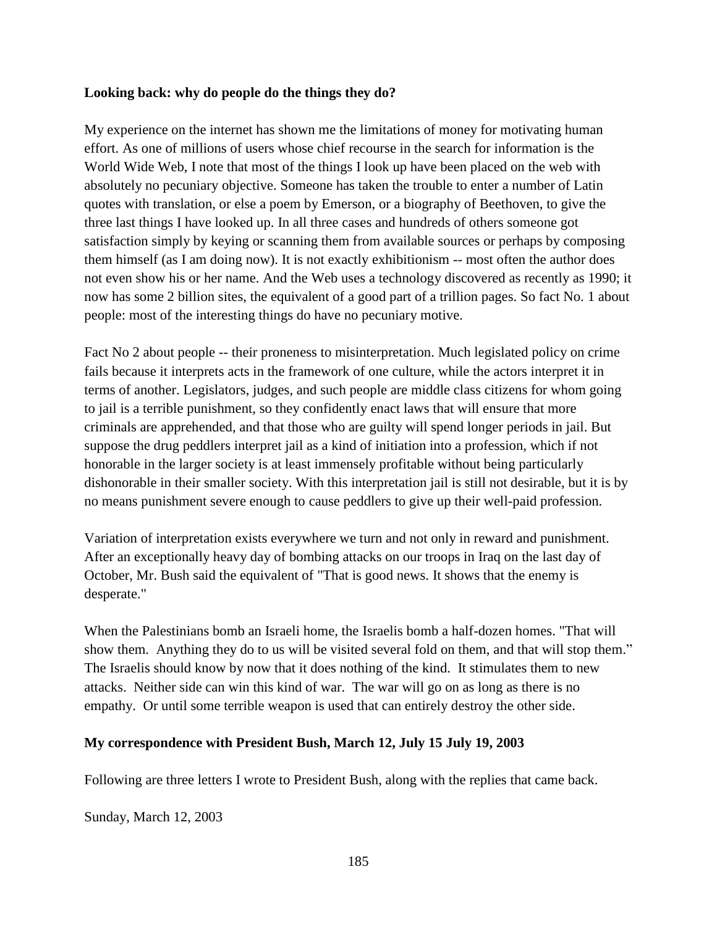#### **Looking back: why do people do the things they do?**

My experience on the internet has shown me the limitations of money for motivating human effort. As one of millions of users whose chief recourse in the search for information is the World Wide Web, I note that most of the things I look up have been placed on the web with absolutely no pecuniary objective. Someone has taken the trouble to enter a number of Latin quotes with translation, or else a poem by Emerson, or a biography of Beethoven, to give the three last things I have looked up. In all three cases and hundreds of others someone got satisfaction simply by keying or scanning them from available sources or perhaps by composing them himself (as I am doing now). It is not exactly exhibitionism -- most often the author does not even show his or her name. And the Web uses a technology discovered as recently as 1990; it now has some 2 billion sites, the equivalent of a good part of a trillion pages. So fact No. 1 about people: most of the interesting things do have no pecuniary motive.

Fact No 2 about people -- their proneness to misinterpretation. Much legislated policy on crime fails because it interprets acts in the framework of one culture, while the actors interpret it in terms of another. Legislators, judges, and such people are middle class citizens for whom going to jail is a terrible punishment, so they confidently enact laws that will ensure that more criminals are apprehended, and that those who are guilty will spend longer periods in jail. But suppose the drug peddlers interpret jail as a kind of initiation into a profession, which if not honorable in the larger society is at least immensely profitable without being particularly dishonorable in their smaller society. With this interpretation jail is still not desirable, but it is by no means punishment severe enough to cause peddlers to give up their well-paid profession.

Variation of interpretation exists everywhere we turn and not only in reward and punishment. After an exceptionally heavy day of bombing attacks on our troops in Iraq on the last day of October, Mr. Bush said the equivalent of "That is good news. It shows that the enemy is desperate."

When the Palestinians bomb an Israeli home, the Israelis bomb a half-dozen homes. "That will show them. Anything they do to us will be visited several fold on them, and that will stop them." The Israelis should know by now that it does nothing of the kind. It stimulates them to new attacks. Neither side can win this kind of war. The war will go on as long as there is no empathy. Or until some terrible weapon is used that can entirely destroy the other side.

#### **My correspondence with President Bush, March 12, July 15 July 19, 2003**

Following are three letters I wrote to President Bush, along with the replies that came back.

Sunday, March 12, 2003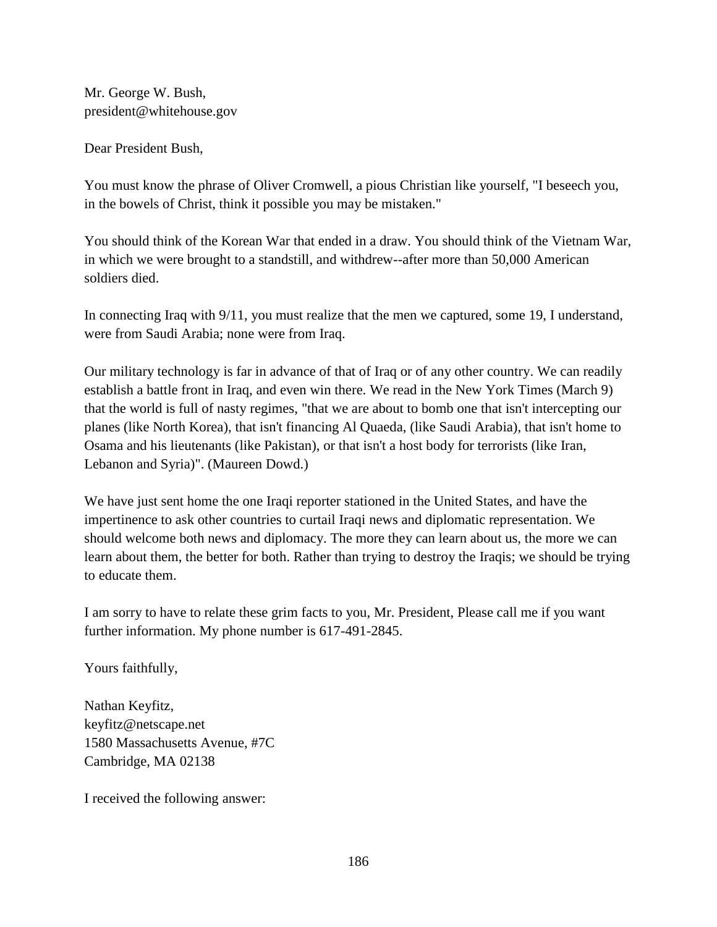Mr. George W. Bush, president@whitehouse.gov

Dear President Bush,

You must know the phrase of Oliver Cromwell, a pious Christian like yourself, "I beseech you, in the bowels of Christ, think it possible you may be mistaken."

You should think of the Korean War that ended in a draw. You should think of the Vietnam War, in which we were brought to a standstill, and withdrew--after more than 50,000 American soldiers died.

In connecting Iraq with 9/11, you must realize that the men we captured, some 19, I understand, were from Saudi Arabia; none were from Iraq.

Our military technology is far in advance of that of Iraq or of any other country. We can readily establish a battle front in Iraq, and even win there. We read in the New York Times (March 9) that the world is full of nasty regimes, "that we are about to bomb one that isn't intercepting our planes (like North Korea), that isn't financing Al Quaeda, (like Saudi Arabia), that isn't home to Osama and his lieutenants (like Pakistan), or that isn't a host body for terrorists (like Iran, Lebanon and Syria)". (Maureen Dowd.)

We have just sent home the one Iraqi reporter stationed in the United States, and have the impertinence to ask other countries to curtail Iraqi news and diplomatic representation. We should welcome both news and diplomacy. The more they can learn about us, the more we can learn about them, the better for both. Rather than trying to destroy the Iraqis; we should be trying to educate them.

I am sorry to have to relate these grim facts to you, Mr. President, Please call me if you want further information. My phone number is 617-491-2845.

Yours faithfully,

Nathan Keyfitz, keyfitz@netscape.net 1580 Massachusetts Avenue, #7C Cambridge, MA 02138

I received the following answer: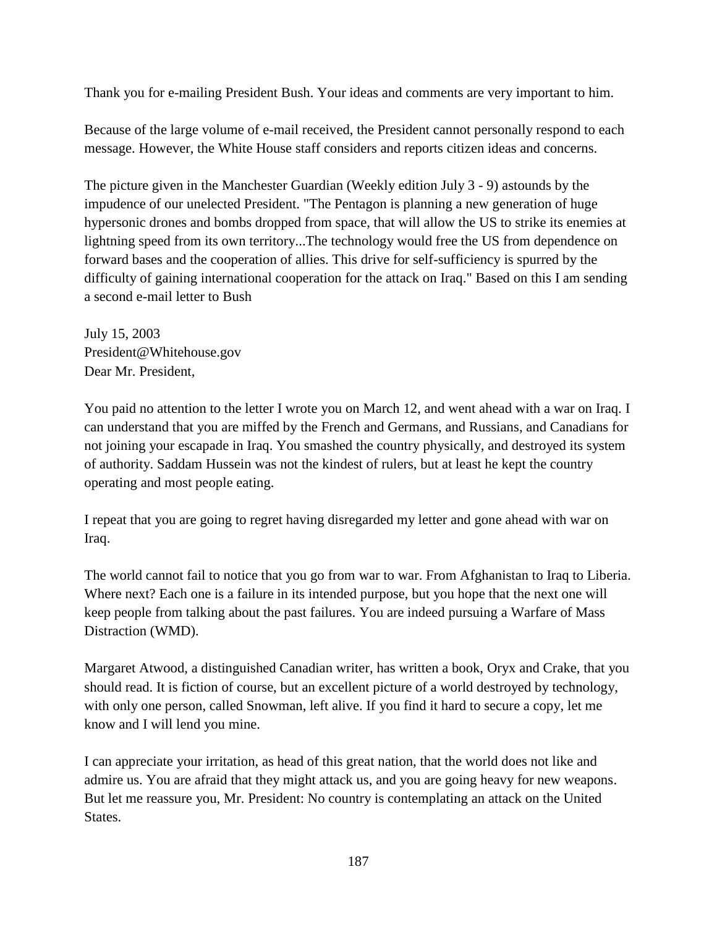Thank you for e-mailing President Bush. Your ideas and comments are very important to him.

Because of the large volume of e-mail received, the President cannot personally respond to each message. However, the White House staff considers and reports citizen ideas and concerns.

The picture given in the Manchester Guardian (Weekly edition July 3 - 9) astounds by the impudence of our unelected President. "The Pentagon is planning a new generation of huge hypersonic drones and bombs dropped from space, that will allow the US to strike its enemies at lightning speed from its own territory...The technology would free the US from dependence on forward bases and the cooperation of allies. This drive for self-sufficiency is spurred by the difficulty of gaining international cooperation for the attack on Iraq." Based on this I am sending a second e-mail letter to Bush

July 15, 2003 President@Whitehouse.gov Dear Mr. President,

You paid no attention to the letter I wrote you on March 12, and went ahead with a war on Iraq. I can understand that you are miffed by the French and Germans, and Russians, and Canadians for not joining your escapade in Iraq. You smashed the country physically, and destroyed its system of authority. Saddam Hussein was not the kindest of rulers, but at least he kept the country operating and most people eating.

I repeat that you are going to regret having disregarded my letter and gone ahead with war on Iraq.

The world cannot fail to notice that you go from war to war. From Afghanistan to Iraq to Liberia. Where next? Each one is a failure in its intended purpose, but you hope that the next one will keep people from talking about the past failures. You are indeed pursuing a Warfare of Mass Distraction (WMD).

Margaret Atwood, a distinguished Canadian writer, has written a book, Oryx and Crake, that you should read. It is fiction of course, but an excellent picture of a world destroyed by technology, with only one person, called Snowman, left alive. If you find it hard to secure a copy, let me know and I will lend you mine.

I can appreciate your irritation, as head of this great nation, that the world does not like and admire us. You are afraid that they might attack us, and you are going heavy for new weapons. But let me reassure you, Mr. President: No country is contemplating an attack on the United States.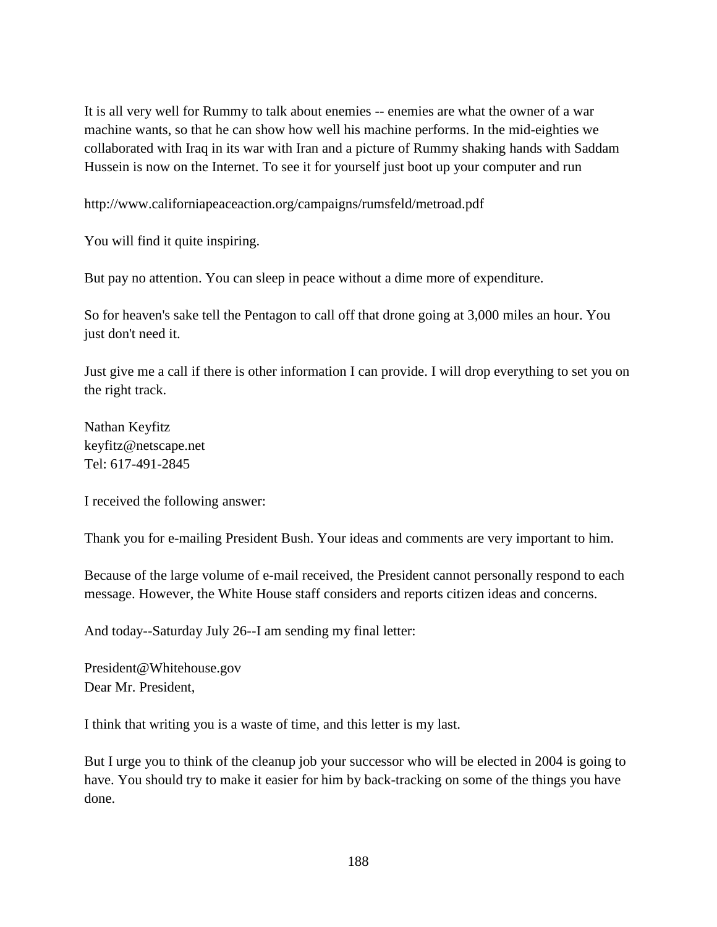It is all very well for Rummy to talk about enemies -- enemies are what the owner of a war machine wants, so that he can show how well his machine performs. In the mid-eighties we collaborated with Iraq in its war with Iran and a picture of Rummy shaking hands with Saddam Hussein is now on the Internet. To see it for yourself just boot up your computer and run

http://www.californiapeaceaction.org/campaigns/rumsfeld/metroad.pdf

You will find it quite inspiring.

But pay no attention. You can sleep in peace without a dime more of expenditure.

So for heaven's sake tell the Pentagon to call off that drone going at 3,000 miles an hour. You just don't need it.

Just give me a call if there is other information I can provide. I will drop everything to set you on the right track.

Nathan Keyfitz keyfitz@netscape.net Tel: 617-491-2845

I received the following answer:

Thank you for e-mailing President Bush. Your ideas and comments are very important to him.

Because of the large volume of e-mail received, the President cannot personally respond to each message. However, the White House staff considers and reports citizen ideas and concerns.

And today--Saturday July 26--I am sending my final letter:

President@Whitehouse.gov Dear Mr. President,

I think that writing you is a waste of time, and this letter is my last.

But I urge you to think of the cleanup job your successor who will be elected in 2004 is going to have. You should try to make it easier for him by back-tracking on some of the things you have done.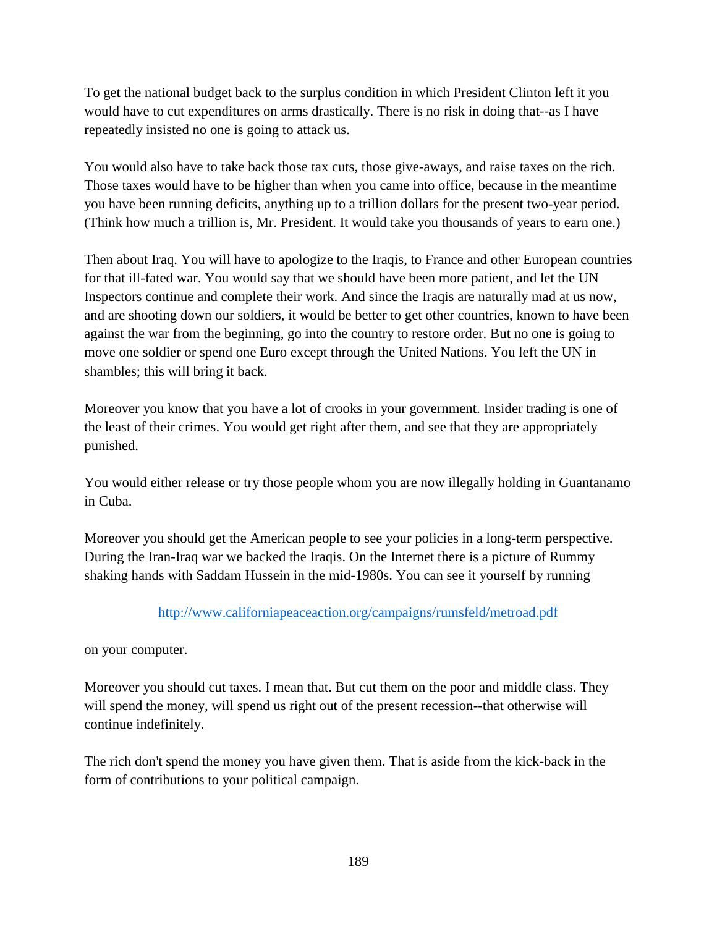To get the national budget back to the surplus condition in which President Clinton left it you would have to cut expenditures on arms drastically. There is no risk in doing that--as I have repeatedly insisted no one is going to attack us.

You would also have to take back those tax cuts, those give-aways, and raise taxes on the rich. Those taxes would have to be higher than when you came into office, because in the meantime you have been running deficits, anything up to a trillion dollars for the present two-year period. (Think how much a trillion is, Mr. President. It would take you thousands of years to earn one.)

Then about Iraq. You will have to apologize to the Iraqis, to France and other European countries for that ill-fated war. You would say that we should have been more patient, and let the UN Inspectors continue and complete their work. And since the Iraqis are naturally mad at us now, and are shooting down our soldiers, it would be better to get other countries, known to have been against the war from the beginning, go into the country to restore order. But no one is going to move one soldier or spend one Euro except through the United Nations. You left the UN in shambles; this will bring it back.

Moreover you know that you have a lot of crooks in your government. Insider trading is one of the least of their crimes. You would get right after them, and see that they are appropriately punished.

You would either release or try those people whom you are now illegally holding in Guantanamo in Cuba.

Moreover you should get the American people to see your policies in a long-term perspective. During the Iran-Iraq war we backed the Iraqis. On the Internet there is a picture of Rummy shaking hands with Saddam Hussein in the mid-1980s. You can see it yourself by running

<http://www.californiapeaceaction.org/campaigns/rumsfeld/metroad.pdf>

on your computer.

Moreover you should cut taxes. I mean that. But cut them on the poor and middle class. They will spend the money, will spend us right out of the present recession--that otherwise will continue indefinitely.

The rich don't spend the money you have given them. That is aside from the kick-back in the form of contributions to your political campaign.